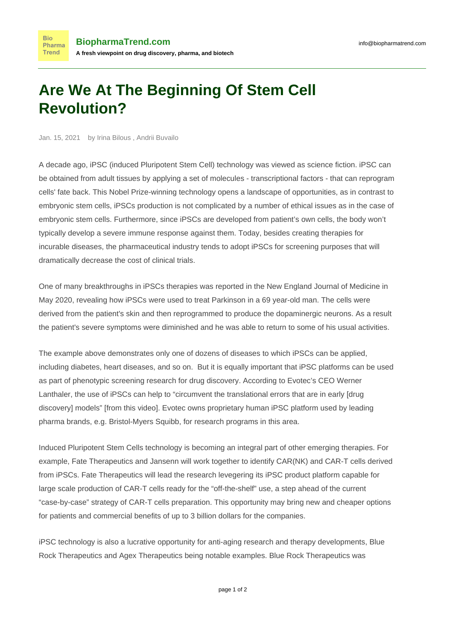## **Are We At The Beginning Of Stem Cell Revolution?**

Jan. 15, 2021 by Irina Bilous , Andrii Buvailo

**Bio** 

A decade ago, iPSC (induced Pluripotent Stem Cell) technology was viewed as science fiction. iPSC can be obtained from adult tissues by applying a set of molecules - transcriptional factors - that can reprogram cells' fate back. This Nobel Prize-winning technology opens a landscape of opportunities, as in contrast to embryonic stem cells, iPSCs production is not complicated by a number of ethical issues as in the case of embryonic stem cells. Furthermore, since iPSCs are developed from patient's own cells, the body won't typically develop a severe immune response against them. Today, besides creating therapies for incurable diseases, the pharmaceutical industry tends to adopt iPSCs for screening purposes that will dramatically decrease the cost of clinical trials.

One of many [breakthroughs](https://www.discovermagazine.com/health/is-the-dawn-of-the-stem-cell-revolution-finally-here) in iPSCs therapies was [reported](https://www.nejm.org/doi/full/10.1056/NEJMoa1915872) in the New England Journal of Medicine in May 2020, revealing how iPSCs were used to treat Parkinson in a 69 year-old man. The cells were derived from the patient's skin and then reprogrammed to produce the dopaminergic neurons. As a result the patient's severe symptoms were diminished and he was able to return to some of his usual activities.

The example above demonstrates only one of dozens of diseases to which iPSCs can be applied, including diabetes, [heart diseases,](https://www.nature.com/articles/d41586-020-01285-w) and so on. But it is equally important that iPSC platforms can be used as part of phenotypic screening research for drug discovery. According to Evotec's CEO Werner Lanthaler, the use of iPSCs can help to "circumvent the translational errors that are in early [drug discovery] models" [from [this video\]](https://www.youtube.com/watch?v=2u7bUzi62Fo). Evotec owns [proprietary](https://www.evotec.com/en/innovate/ipsc-platform?__hstc=204545871.2f3f33a24b44870ec4a577029c49e44b.1598313600091.1598313600092.1598313600093.1&__hssc=204545871.1.1598313600094&__hsfp=226676249) human iPSC platform used by leading pharma brands, e.g. [Bristol-Myers Squibb,](https://www.contractpharma.com/contents/view_breaking-news/2020-01-07/evotec-and-bms-expand-ipsc-collaboration/) for research programs in this area.

Induced Pluripotent Stem Cells technology is becoming an integral part of other emerging therapies. For example, Fate Therapeutics and Jansenn [will work](https://www.biopharma-reporter.com/Article/2020/04/06/Fate-signs-deal-with-Janssen) together to identify CAR(NK) and CAR-T cells derived from iPSCs. Fate Therapeutics will lead the research levegering its iPSC product platform capable for large scale production of CAR-T cells ready for the "off-the-shelf" use, a step ahead of the current "case-by-case" strategy of CAR-T cells preparation. This opportunity may bring new and cheaper options for patients and commercial benefits of up to 3 billion dollars for the companies.

iPSC technology is also a lucrative opportunity for anti-aging research and therapy developments, Blue Rock Therapeutics and Agex Therapeutics being notable examples. Blue Rock Therapeutics was